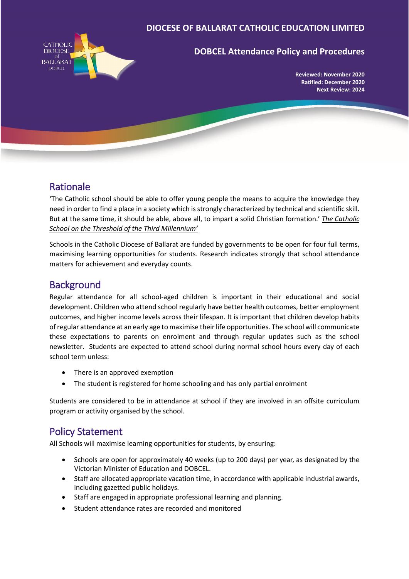#### **DIOCESE OF BALLARAT CATHOLIC EDUCATION LIMITED**



### **DOBCEL Attendance Policy and Procedures**

**Reviewed: November 2020 Ratified: December 2020 Next Review: 2024**

# Rationale

'The Catholic school should be able to offer young people the means to acquire the knowledge they need in order to find a place in a society which is strongly characterized by technical and scientific skill. But at the same time, it should be able, above all, to impart a solid Christian formation.' *The Catholic School on the Threshold of the Third Millennium'*

Schools in the Catholic Diocese of Ballarat are funded by governments to be open for four full terms, maximising learning opportunities for students. Research indicates strongly that school attendance matters for achievement and everyday counts.

# **Background**

Regular attendance for all school-aged children is important in their educational and social development. Children who attend school regularly have better health outcomes, better employment outcomes, and higher income levels across their lifespan. It is important that children develop habits of regular attendance at an early age to maximise their life opportunities. The school will communicate these expectations to parents on enrolment and through regular updates such as the school newsletter. Students are expected to attend school during normal school hours every day of each school term unless:

- There is an approved exemption
- The student is registered for home schooling and has only partial enrolment

Students are considered to be in attendance at school if they are involved in an offsite curriculum program or activity organised by the school.

## Policy Statement

All Schools will maximise learning opportunities for students, by ensuring:

- Schools are open for approximately 40 weeks (up to 200 days) per year, as designated by the Victorian Minister of Education and DOBCEL.
- Staff are allocated appropriate vacation time, in accordance with applicable industrial awards, including gazetted public holidays.
- Staff are engaged in appropriate professional learning and planning.
- Student attendance rates are recorded and monitored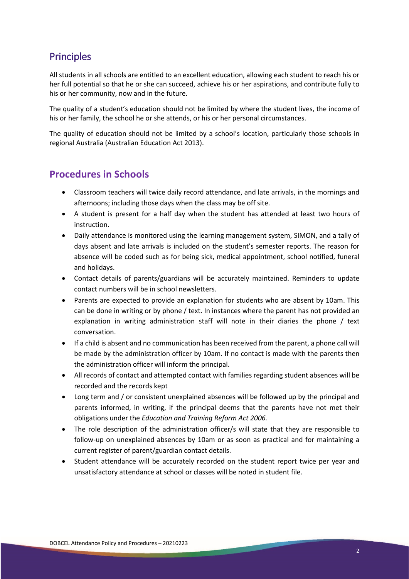# **Principles**

All students in all schools are entitled to an excellent education, allowing each student to reach his or her full potential so that he or she can succeed, achieve his or her aspirations, and contribute fully to his or her community, now and in the future.

The quality of a student's education should not be limited by where the student lives, the income of his or her family, the school he or she attends, or his or her personal circumstances.

The quality of education should not be limited by a school's location, particularly those schools in regional Australia (Australian Education Act 2013).

## **Procedures in Schools**

- Classroom teachers will twice daily record attendance, and late arrivals, in the mornings and afternoons; including those days when the class may be off site.
- A student is present for a half day when the student has attended at least two hours of instruction.
- Daily attendance is monitored using the learning management system, SIMON, and a tally of days absent and late arrivals is included on the student's semester reports. The reason for absence will be coded such as for being sick, medical appointment, school notified, funeral and holidays.
- Contact details of parents/guardians will be accurately maintained. Reminders to update contact numbers will be in school newsletters.
- Parents are expected to provide an explanation for students who are absent by 10am. This can be done in writing or by phone / text. In instances where the parent has not provided an explanation in writing administration staff will note in their diaries the phone / text conversation.
- If a child is absent and no communication has been received from the parent, a phone call will be made by the administration officer by 10am. If no contact is made with the parents then the administration officer will inform the principal.
- All records of contact and attempted contact with families regarding student absences will be recorded and the records kept
- Long term and / or consistent unexplained absences will be followed up by the principal and parents informed, in writing, if the principal deems that the parents have not met their obligations under the *Education and Training Reform Act 2006.*
- The role description of the administration officer/s will state that they are responsible to follow-up on unexplained absences by 10am or as soon as practical and for maintaining a current register of parent/guardian contact details.
- Student attendance will be accurately recorded on the student report twice per year and unsatisfactory attendance at school or classes will be noted in student file.